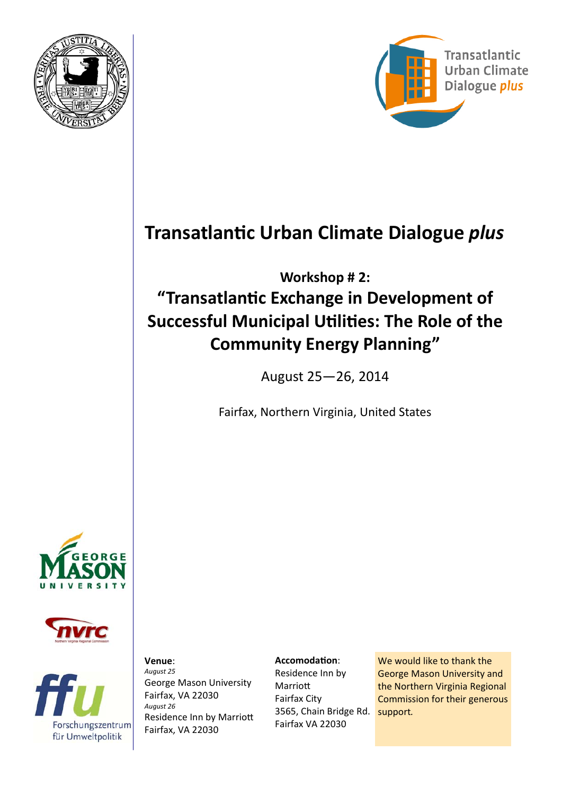



## **TransatlanƟc Urban Climate Dialogue** *plus*

**Workshop # 2: "TransatlanƟc Exchange in Development of Successful Municipal UƟliƟes: The Role of the Community Energy Planning"** 

August 25—26, 2014

Fairfax, Northern Virginia, United States







**Venue**: *August 25* George Mason University Fairfax, VA 22030 *August 26* Residence Inn by Marriott Fairfax, VA 22030

**AccomodaƟon**: Residence Inn by **Marriott** Fairfax City 3565, Chain Bridge Rd. support*.* Fairfax VA 22030

We would like to thank the George Mason University and the Northern Virginia Regional Commission for their generous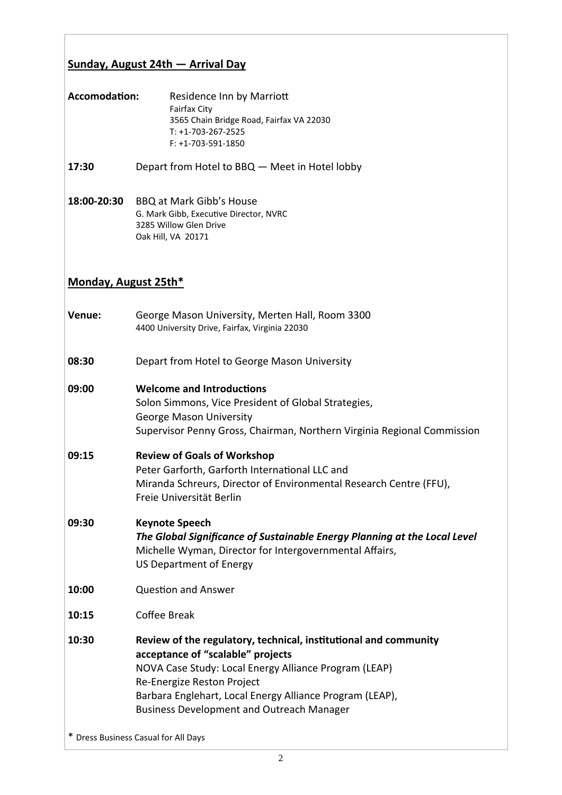## **Sunday, August 24th — Arrival Day**

| Accomodation: | Residence Inn by Marriott                |
|---------------|------------------------------------------|
|               | <b>Fairfax City</b>                      |
|               | 3565 Chain Bridge Road, Fairfax VA 22030 |
|               | $T: +1-703-267-2525$                     |
|               | $F: +1-703-591-1850$                     |

**17:30** Depart from Hotel to BBQ — Meet in Hotel lobby

**18:00‐20:30** BBQ at Mark Gibb's House G. Mark Gibb, ExecuƟve Director, NVRC 3285 Willow Glen Drive Oak Hill, VA 20171

## **Monday, August 25th\***

| Venue:                               | George Mason University, Merten Hall, Room 3300<br>4400 University Drive, Fairfax, Virginia 22030                                                                                                                                                                                                            |
|--------------------------------------|--------------------------------------------------------------------------------------------------------------------------------------------------------------------------------------------------------------------------------------------------------------------------------------------------------------|
| 08:30                                | Depart from Hotel to George Mason University                                                                                                                                                                                                                                                                 |
| 09:00                                | <b>Welcome and Introductions</b><br>Solon Simmons, Vice President of Global Strategies,<br><b>George Mason University</b><br>Supervisor Penny Gross, Chairman, Northern Virginia Regional Commission                                                                                                         |
| 09:15                                | <b>Review of Goals of Workshop</b><br>Peter Garforth, Garforth International LLC and<br>Miranda Schreurs, Director of Environmental Research Centre (FFU),<br>Freie Universität Berlin                                                                                                                       |
| 09:30                                | <b>Keynote Speech</b><br>The Global Significance of Sustainable Energy Planning at the Local Level<br>Michelle Wyman, Director for Intergovernmental Affairs,<br><b>US Department of Energy</b>                                                                                                              |
| 10:00                                | <b>Question and Answer</b>                                                                                                                                                                                                                                                                                   |
| 10:15                                | Coffee Break                                                                                                                                                                                                                                                                                                 |
| 10:30                                | Review of the regulatory, technical, institutional and community<br>acceptance of "scalable" projects<br>NOVA Case Study: Local Energy Alliance Program (LEAP)<br>Re-Energize Reston Project<br>Barbara Englehart, Local Energy Alliance Program (LEAP),<br><b>Business Development and Outreach Manager</b> |
| * Dress Business Casual for All Days |                                                                                                                                                                                                                                                                                                              |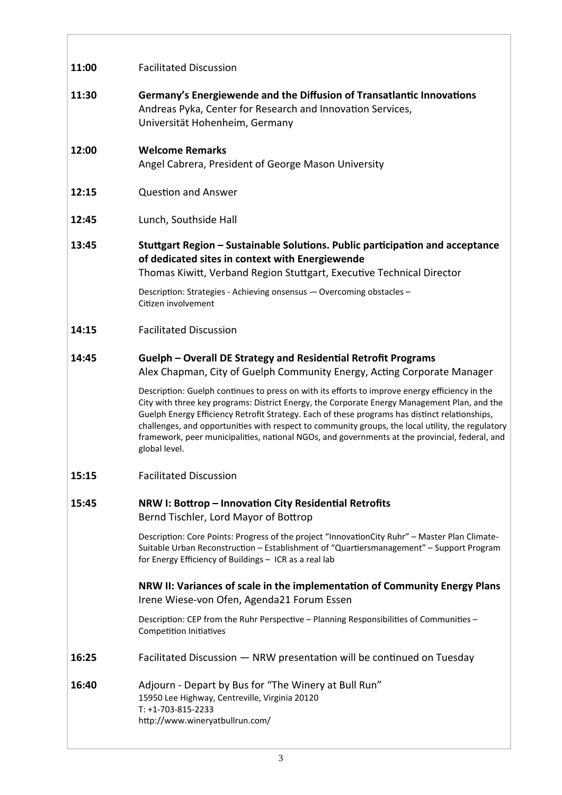| 11:00 | <b>Facilitated Discussion</b>                                                                                                                                                                                                                                                                                                                                                                                                                                                                                            |
|-------|--------------------------------------------------------------------------------------------------------------------------------------------------------------------------------------------------------------------------------------------------------------------------------------------------------------------------------------------------------------------------------------------------------------------------------------------------------------------------------------------------------------------------|
| 11:30 | Germany's Energiewende and the Diffusion of Transatlantic Innovations<br>Andreas Pyka, Center for Research and Innovation Services,<br>Universität Hohenheim, Germany                                                                                                                                                                                                                                                                                                                                                    |
| 12:00 | <b>Welcome Remarks</b><br>Angel Cabrera, President of George Mason University                                                                                                                                                                                                                                                                                                                                                                                                                                            |
| 12:15 | <b>Question and Answer</b>                                                                                                                                                                                                                                                                                                                                                                                                                                                                                               |
| 12:45 | Lunch, Southside Hall                                                                                                                                                                                                                                                                                                                                                                                                                                                                                                    |
| 13:45 | Stuttgart Region – Sustainable Solutions. Public participation and acceptance<br>of dedicated sites in context with Energiewende<br>Thomas Kiwitt, Verband Region Stuttgart, Executive Technical Director<br>Description: Strategies - Achieving onsensus -- Overcoming obstacles -<br>Citizen involvement                                                                                                                                                                                                               |
| 14:15 | <b>Facilitated Discussion</b>                                                                                                                                                                                                                                                                                                                                                                                                                                                                                            |
| 14:45 | Guelph – Overall DE Strategy and Residential Retrofit Programs<br>Alex Chapman, City of Guelph Community Energy, Acting Corporate Manager                                                                                                                                                                                                                                                                                                                                                                                |
|       | Description: Guelph continues to press on with its efforts to improve energy efficiency in the<br>City with three key programs: District Energy, the Corporate Energy Management Plan, and the<br>Guelph Energy Efficiency Retrofit Strategy. Each of these programs has distinct relationships,<br>challenges, and opportunities with respect to community groups, the local utility, the regulatory<br>framework, peer municipalities, national NGOs, and governments at the provincial, federal, and<br>global level. |
| 15:15 | <b>Facilitated Discussion</b>                                                                                                                                                                                                                                                                                                                                                                                                                                                                                            |
| 15:45 | NRW I: Bottrop - Innovation City Residential Retrofits<br>Bernd Tischler, Lord Mayor of Bottrop                                                                                                                                                                                                                                                                                                                                                                                                                          |
|       | Description: Core Points: Progress of the project "InnovationCity Ruhr" - Master Plan Climate-<br>Suitable Urban Reconstruction - Establishment of "Quartiersmanagement" - Support Program<br>for Energy Efficiency of Buildings - ICR as a real lab                                                                                                                                                                                                                                                                     |
|       | NRW II: Variances of scale in the implementation of Community Energy Plans<br>Irene Wiese-von Ofen, Agenda21 Forum Essen                                                                                                                                                                                                                                                                                                                                                                                                 |
|       | Description: CEP from the Ruhr Perspective - Planning Responsibilities of Communities -<br><b>Competition Initiatives</b>                                                                                                                                                                                                                                                                                                                                                                                                |
| 16:25 | Facilitated Discussion - NRW presentation will be continued on Tuesday                                                                                                                                                                                                                                                                                                                                                                                                                                                   |
| 16:40 | Adjourn - Depart by Bus for "The Winery at Bull Run"<br>15950 Lee Highway, Centreville, Virginia 20120<br>T: +1-703-815-2233<br>http://www.wineryatbullrun.com/                                                                                                                                                                                                                                                                                                                                                          |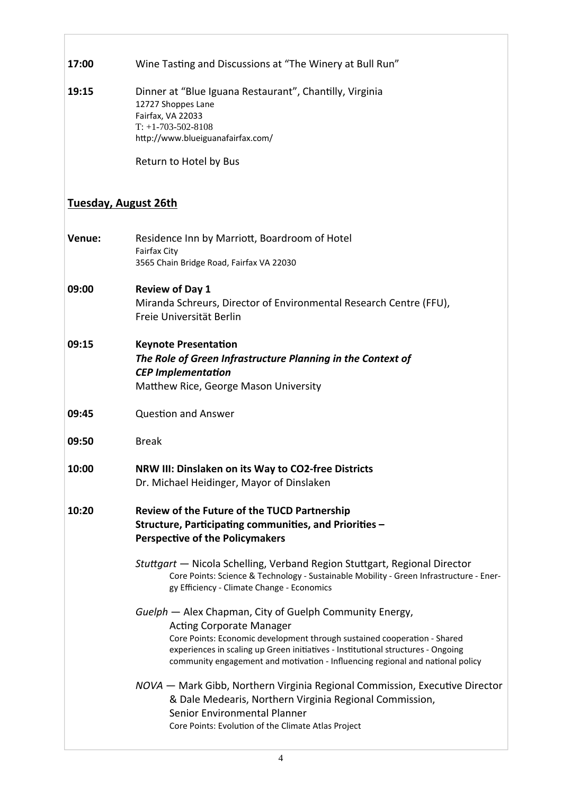17:00 Wine Tasting and Discussions at "The Winery at Bull Run" 19:15 Dinner at "Blue Iguana Restaurant", Chantilly, Virginia 12727 Shoppes Lane Fairfax, VA 22033  $T: +1-703-502-8108$ http://www.blueiguanafairfax.com/ Return to Hotel by Bus **Tuesday, August 26th** Venue: Residence Inn by Marriott, Boardroom of Hotel **Fairfax City** 3565 Chain Bridge Road, Fairfax VA 22030 09:00 **Review of Day 1** Miranda Schreurs, Director of Environmental Research Centre (FFU), Freie Universität Berlin 09:15 **Keynote Presentation** The Role of Green Infrastructure Planning in the Context of **CEP Implementation** Matthew Rice, George Mason University **Ouestion and Answer** 09:45 09:50 **Break** 10:00 NRW III: Dinslaken on its Way to CO2-free Districts Dr. Michael Heidinger, Mayor of Dinslaken 10:20 Review of the Future of the TUCD Partnership Structure, Participating communities, and Priorities -**Perspective of the Policymakers** Stuttgart - Nicola Schelling, Verband Region Stuttgart, Regional Director Core Points: Science & Technology - Sustainable Mobility - Green Infrastructure - Energy Efficiency - Climate Change - Economics Guelph - Alex Chapman, City of Guelph Community Energy, **Acting Corporate Manager** Core Points: Economic development through sustained cooperation - Shared experiences in scaling up Green initiatives - Institutional structures - Ongoing community engagement and motivation - Influencing regional and national policy NOVA - Mark Gibb, Northern Virginia Regional Commission, Executive Director & Dale Medearis, Northern Virginia Regional Commission, Senior Environmental Planner Core Points: Evolution of the Climate Atlas Project